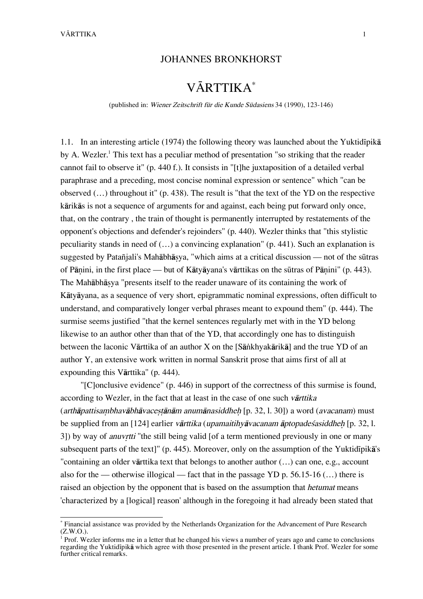## JOHANNES BRONKHORST

# VĀRTTIKA\*

(published in: Wiener Zeitschrift für die Kunde Südasiens 34 (1990), 123-146)

1.1. In an interesting article (1974) the following theory was launched about the Yuktid<sub>i</sub>pik $\bar{a}$ by A. Wezler.<sup>1</sup> This text has a peculiar method of presentation "so striking that the reader cannot fail to observe it" (p. 440 f.). It consists in "[t]he juxtaposition of a detailed verbal paraphrase and a preceding, most concise nominal expression or sentence" which "can be observed (…) throughout it" (p. 438). The result is "that the text of the YD on the respective kårikås is not a sequence of arguments for and against, each being put forward only once, that, on the contrary , the train of thought is permanently interrupted by restatements of the opponent's objections and defender's rejoinders" (p. 440). Wezler thinks that "this stylistic peculiarity stands in need of (…) a convincing explanation" (p. 441). Such an explanation is suggested by Patañjali's Mahābhāsya, "which aims at a critical discussion — not of the sūtras of Pānini, in the first place — but of Kātyāyana's vārttikas on the sūtras of Pānini" (p. 443). The Mahābhāsya "presents itself to the reader unaware of its containing the work of Kåtyåyana, as a sequence of very short, epigrammatic nominal expressions, often difficult to understand, and comparatively longer verbal phrases meant to expound them" (p. 444). The surmise seems justified "that the kernel sentences regularly met with in the YD belong likewise to an author other than that of the YD, that accordingly one has to distinguish between the laconic Vārttika of an author X on the [Sānkhyakārikā] and the true YD of an author Y, an extensive work written in normal Sanskrit prose that aims first of all at expounding this Vårttika" (p. 444).

"[C]onclusive evidence" (p. 446) in support of the correctness of this surmise is found, according to Wezler, in the fact that at least in the case of one such vartilika  $(\text{arthā}$ pattisambhavābhāvacestānām anumānasiddheh [p. 32, l. 30]) a word (avacanam) must be supplied from an [124] earlier vārttika (upamaitihyāvacanam āptopades asiddheh [p. 32, l. 3]) by way of *anuvrtti* "the still being valid [of a term mentioned previously in one or many subsequent parts of the text]" (p. 445). Moreover, only on the assumption of the Yuktid<sub>i</sub>pika's "containing an older vårttika text that belongs to another author (…) can one, e.g., account also for the — otherwise illogical — fact that in the passage YD p. 56.15-16  $(...)$  there is raised an objection by the opponent that is based on the assumption that *hetumat* means 'characterized by a [logical] reason' although in the foregoing it had already been stated that

\* Financial assistance was provided by the Netherlands Organization for the Advancement of Pure Research (Z.W.O.).

<sup>&</sup>lt;sup>1</sup> Prof. Wezler informs me in a letter that he changed his views a number of years ago and came to conclusions regarding the Yuktidīpikā which agree with those presented in the present article. I thank Prof. Wezler for some further critical remarks.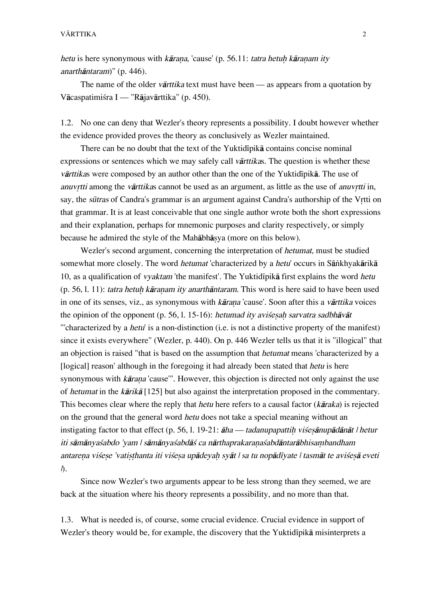hetu is here synonymous with kārana, 'cause' (p. 56.11: tatra hetuh kāranam ity anarthåntaram)" (p. 446).

The name of the older *varttika* text must have been — as appears from a quotation by Våcaspatimißra I — "Råjavårttika" (p. 450).

1.2. No one can deny that Wezler's theory represents a possibility. I doubt however whether the evidence provided proves the theory as conclusively as Wezler maintained.

There can be no doubt that the text of the Yuktidipika contains concise nominal expressions or sentences which we may safely call *varitikas*. The question is whether these vārttikas were composed by an author other than the one of the Yuktidīpikā. The use of anuvrtti among the vārttikas cannot be used as an argument, as little as the use of anuvrtti in, say, the *sūtras* of Candra's grammar is an argument against Candra's authorship of the Vrtti on that grammar. It is at least conceivable that one single author wrote both the short expressions and their explanation, perhaps for mnemonic purposes and clarity respectively, or simply because he admired the style of the Mahābhāsya (more on this below).

Wezler's second argument, concerning the interpretation of hetumat, must be studied somewhat more closely. The word *hetumat* 'characterized by a *hetu*' occurs in Sānkhyakārikā 10, as a qualification of *vyaktam* 'the manifest'. The Yuktidipika first explains the word *hetu*  $(p. 56, 1. 11)$ : tatra hetuh kāranam ity anarthāntaram. This word is here said to have been used in one of its senses, viz., as synonymous with kārana 'cause'. Soon after this a vārttika voices the opinion of the opponent (p. 56, l. 15-16): hetumad ity avises ah sarvatra sadbhāvāt "'characterized by a hetu' is a non-distinction (i.e. is not a distinctive property of the manifest) since it exists everywhere" (Wezler, p. 440). On p. 446 Wezler tells us that it is "illogical" that an objection is raised "that is based on the assumption that hetumat means 'characterized by a [logical] reason' although in the foregoing it had already been stated that *hetu* is here synonymous with *kārana* 'cause'". However, this objection is directed not only against the use of hetumat in the kårikå [125] but also against the interpretation proposed in the commentary. This becomes clear where the reply that hetu here refers to a causal factor (kåraka) is rejected on the ground that the general word hetu does not take a special meaning without an instigating factor to that effect (p. 56, l. 19-21:  $\bar{a}ha$  — tadanupapattih vises $\bar{a}nu\bar{a}d\bar{a}n\bar{a}t$  / hetur iti sāmānyaśabdo 'yam | sāmānyaśabdāś ca nārthaprakaranaśabdāntarābhisambandham antarena višese 'vatisthanta iti višesa upādeyah syāt | sa tu nopādīyate | tasmāt te avišesā eveti  $\Lambda$ .

Since now Wezler's two arguments appear to be less strong than they seemed, we are back at the situation where his theory represents a possibility, and no more than that.

1.3. What is needed is, of course, some crucial evidence. Crucial evidence in support of Wezler's theory would be, for example, the discovery that the Yuktidipika misinterprets a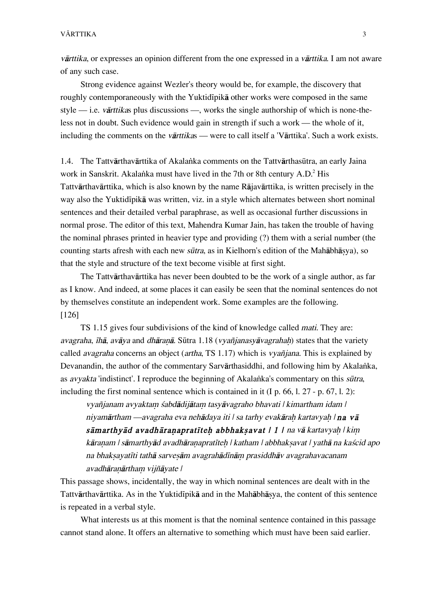vārttika, or expresses an opinion different from the one expressed in a vārttika. I am not aware of any such case.

Strong evidence against Wezler's theory would be, for example, the discovery that roughly contemporaneously with the Yuktidipika other works were composed in the same style — i.e. vårttikas plus discussions —, works the single authorship of which is none-theless not in doubt. Such evidence would gain in strength if such a work — the whole of it, including the comments on the vārttikas — were to call itself a 'Vārttika'. Such a work exists.

1.4. The Tattvårthavårttika of Akala∫ka comments on the TattvårthasËtra, an early Jaina work in Sanskrit. Akalanka must have lived in the 7th or 8th century A.D.<sup>2</sup> His Tattvårthavårttika, which is also known by the name Råjavårttika, is written precisely in the way also the Yuktidīpikā was written, viz. in a style which alternates between short nominal sentences and their detailed verbal paraphrase, as well as occasional further discussions in normal prose. The editor of this text, Mahendra Kumar Jain, has taken the trouble of having the nominal phrases printed in heavier type and providing (?) them with a serial number (the counting starts afresh with each new *sūtra*, as in Kielhorn's edition of the Mahābhāsya), so that the style and structure of the text become visible at first sight.

The Tattvårthavårttika has never been doubted to be the work of a single author, as far as I know. And indeed, at some places it can easily be seen that the nominal sentences do not by themselves constitute an independent work. Some examples are the following. [126]

TS 1.15 gives four subdivisions of the kind of knowledge called mati. They are: avagraha,  $\bar{I}h\bar{a}$ , avāya and dhāranā. Sūtra 1.18 (vyañjanasyāvagrahah) states that the variety called avagraha concerns an object (artha, TS 1.17) which is vyañjana. This is explained by Devanandin, the author of the commentary Sarvārthasiddhi, and following him by Akalanka, as *avyakta* 'indistinct'. I reproduce the beginning of Akalanka's commentary on this sūtra, including the first nominal sentence which is contained in it (I p. 66, l. 27 - p. 67, l. 2):

vyañjanam avyaktam śabdādijātam tasyāvagraho bhavati | kimartham idam | niyamārtham —avagraha eva nehādaya iti | sa tarhy evakārah kartavyah | na vā sāmarthyād avadhāranapratīteh abbhaksavat | 1 | na vā kartavyah | kim kāranam | sāmarthyād avadhāranapratīteh | katham | abbhaksavat | yathā na kaścid apo na bhaksayatīti tathā sarvesām avagrahādīnām prasiddhāv avagrahavacanam avadhāranārtham vijñāyate |

This passage shows, incidentally, the way in which nominal sentences are dealt with in the Tattvārthavārttika. As in the Yuktidīpikā and in the Mahābhāsya, the content of this sentence is repeated in a verbal style.

What interests us at this moment is that the nominal sentence contained in this passage cannot stand alone. It offers an alternative to something which must have been said earlier.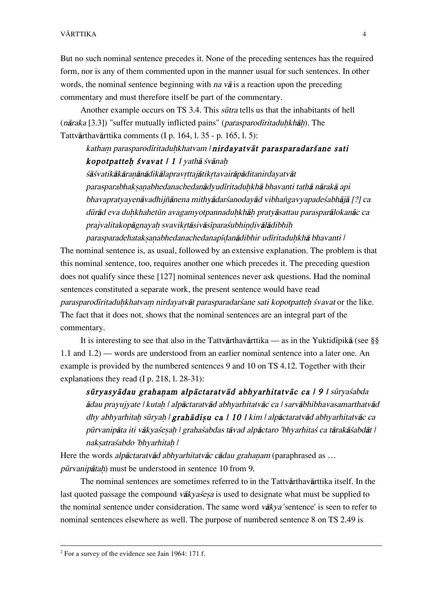But no such nominal sentence precedes it. None of the preceding sentences has the required form, nor is any of them commented upon in the manner usual for such sentences. In other words, the nominal sentence beginning with *na va* is a reaction upon the preceding commentary and must therefore itself be part of the commentary.

Another example occurs on TS 3.4. This *sūtra* tells us that the inhabitants of hell  $(n\bar{a}raka [3,3])$  "suffer mutually inflicted pains" (parasparod $\bar{i}ritaduhkh\bar{a}h$ ). The Tattvårthavårttika comments (I p. 164, l. 35 - p. 165, l. 5):

katham parasparodīritaduhkhatvam | nirdayatvāt parasparadarśane sati kopotpatteh śvavat  $|1|$  / vathā śvānah

śāśvatikākāranānādikālapravrttajātikrtavairāpāditanirdayatvāt parasparabhaksanabhedanachedanādyudīritaduhkhā bhavanti tathā nārakā api bhavapratyayenāvadhijñānena mithyādarśanodayād vibhangayyapadeśabhājā [?] ca dūrād eva duhkhahetūn avagamyotpannaduhkhāh pratyāsattau parasparālokanāc ca prajvalitakopāgnayah svavikrtāsivāsīparaśubhindivālādibhih

parasparadehataksanabhedanachedanapīdanādibhir udīritaduhkhā bhavanti | The nominal sentence is, as usual, followed by an extensive explanation. The problem is that this nominal sentence, too, requires another one which precedes it. The preceding question does not qualify since these [127] nominal sentences never ask questions. Had the nominal sentences constituted a separate work, the present sentence would have read parasparodīritaduhkhatvam nirdayatvāt parasparadarsane sati kopotpatteh svavat or the like. The fact that it does not, shows that the nominal sentences are an integral part of the commentary.

It is interesting to see that also in the Tattvārthavārttika — as in the Yuktidīpikā (see §§ 1.1 and 1.2) — words are understood from an earlier nominal sentence into a later one. An example is provided by the numbered sentences 9 and 10 on TS 4.12. Together with their explanations they read (I p. 218, l. 28-31):

sūryasyādau grahaņam alpāctaratvād abhyarhitatvāc ca | 9 | sūryaśabda  $\bar{a}$ dau prayujyate | kutah | alpāctaratvād abhyarhitatvāc ca | sarvābhibhavasamarthatvād dhy abhyarhitah sūryah | grahādisu ca | 10 | kim | alpāctaratvād abhyarhitatvāc ca pūrvanipāta iti vākyaśesah | grahaśabdas tāvad alpāctaro 'bhyarhitaś ca tārakāśabdāt | naksatraśabdo 'bhyarhitah |

Here the words *alpāctaratvād abhyarhitatvāc cādau grahanam* (paraphrased as ...  $p\bar{u}r$ vanip $\bar{a}t$ ah) must be understood in sentence 10 from 9.

The nominal sentences are sometimes referred to in the Tattvårthavårttika itself. In the last quoted passage the compound vākyasesa is used to designate what must be supplied to the nominal sentence under consideration. The same word våkya 'sentence' is seen to refer to nominal sentences elsewhere as well. The purpose of numbered sentence 8 on TS 2.49 is

 $\frac{1}{2}$  $2$  For a survey of the evidence see Jain 1964: 171 f.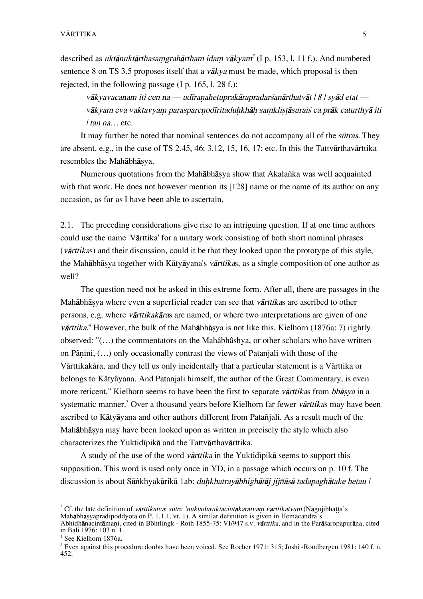described as *uktānuktārthasaṃgrahārtham idaṃ vākyam*<sup>3</sup> (I p. 153, l. 11 f.). And numbered sentence 8 on TS 3.5 proposes itself that a  $v\bar{a}kva$  must be made, which proposal is then rejected, in the following passage (I p. 165, l. 28 f.):

vākyavacanam iti cen na — udīranahetuprakārapradarśanārthatvāt | 8 | syād etat vākyam eva vaktavyam parasparenodīritaduhkhāh samklistāsurais ca prāk caturthyā iti | tan na… etc.

It may further be noted that nominal sentences do not accompany all of the *sūtras*. They are absent, e.g., in the case of TS 2.45, 46; 3.12, 15, 16, 17; etc. In this the Tattvårthavårttika resembles the Mahābhāsva.

Numerous quotations from the Mahābhāsya show that Akalanka was well acquainted with that work. He does not however mention its [128] name or the name of its author on any occasion, as far as I have been able to ascertain.

2.1. The preceding considerations give rise to an intriguing question. If at one time authors could use the name 'Vårttika' for a unitary work consisting of both short nominal phrases (vårttikas) and their discussion, could it be that they looked upon the prototype of this style, the Mahābhāsya together with Kātyāyana's vārttikas, as a single composition of one author as well?

The question need not be asked in this extreme form. After all, there are passages in the Mahābhāsya where even a superficial reader can see that vārttikas are ascribed to other persons, e.g. where vårttikakåras are named, or where two interpretations are given of one vārttika.<sup>4</sup> However, the bulk of the Mahābhāṣya is not like this. Kielhorn (1876a: 7) rightly observed: "(…) the commentators on the Mahâbhâshya, or other scholars who have written on Pânini,  $(...)$  only occasionally contrast the views of Patanjali with those of the Vârttikakâra, and they tell us only incidentally that a particular statement is a Vârttika or belongs to Kâtyâyana. And Patanjali himself, the author of the Great Commentary, is even more reticent." Kielhorn seems to have been the first to separate vārttikas from bhāsya in a systematic manner.<sup>5</sup> Over a thousand years before Kielhorn far fewer vārttikas may have been ascribed to Kåtyåyana and other authors different from Patañjali. As a result much of the Mahābhāsya may have been looked upon as written in precisely the style which also characterizes the Yuktidīpikā and the Tattvārthavārttika.

A study of the use of the word *vārttika* in the Yuktid<sub>i</sub> pika seems to support this supposition. This word is used only once in YD, in a passage which occurs on p. 10 f. The discussion is about Sāṅkhyakārikā 1ab: *duhkhatrayābhighātāj jijñāsā tadapaghātake hetau* /

<sup>&</sup>lt;sup>2</sup><br>3 <sup>3</sup> Cf. the late definition of vārttikatva: sūtre 'nuktaduruktacintākaratvam vārttikatvam (Nāgojībhatta's Mahābhāṣyapradīpoddyota on P. 1.1.1, vt. 1). A similar definition is given in Hemacandra's

Abhidhānacintāmani, cited in Böhtlingk - Roth 1855-75: VI/947 s.v. vārttika, and in the Parāśaropapurāna, cited in Bali 1976: 103 n. 1.

<sup>4</sup> See Kielhorn 1876a.

<sup>&</sup>lt;sup>5</sup> Even against this procedure doubts have been voiced. See Rocher 1971: 315; Joshi -Roodbergen 1981: 140 f. n. 452.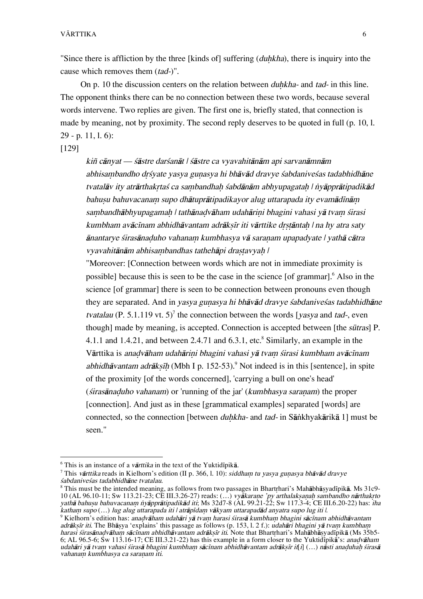"Since there is affliction by the three [kinds of] suffering  $(duhkha)$ , there is inquiry into the cause which removes them (tad-)".

On p. 10 the discussion centers on the relation between *duhkha*- and tad- in this line. The opponent thinks there can be no connection between these two words, because several words intervene. Two replies are given. The first one is, briefly stated, that connection is made by meaning, not by proximity. The second reply deserves to be quoted in full (p. 10, l. 29 - p. 11, l. 6):

[129]

kiñ cānvat — śāstre darśanāt | śāstre ca vyavahitānām api sarvanāmnām abhisambandho drśyate yasya gunasya hi bhāvād dravye śabdaniveśas tadabhidhāne tvatalāv ity atrārthakrtas ca sambandhah sabdānām abhyupagatah | nyāpprātipadikād bahusu bahuvacanam supo dhātuprātipadikayor alug uttarapada ity evamādīnām sambandhābhyupagamah | tathānadvāham udahārini bhagini vahasi yā tvam śirasi kumbham avācīnam abhidhāvantam adrāksīr iti vārttike drstāntah | na hy atra saty ānantarye śirasānaduho vahanam kumbhasya vā saranam upapadyate | yathā cātra vyavahitānām abhisambandhas tathehāpi drastavyah |

"Moreover: [Connection between words which are not in immediate proximity is possible] because this is seen to be the case in the science [of grammar].<sup>6</sup> Also in the science [of grammar] there is seen to be connection between pronouns even though they are separated. And in yasya gunasya hi bhāvād dravye sabdanives as tadabhidhāne *tvatalau* (P. 5.1.119 vt. 5)<sup>7</sup> the connection between the words [*yasya* and *tad*-, even though] made by meaning, is accepted. Connection is accepted between [the sūtras] P. 4.1.1 and 1.4.21, and between 2.4.71 and  $6.3.1$ , etc.<sup>8</sup> Similarly, an example in the Vārttika is anadvāham udahārini bhagini vahasi yā tvam śirasi kumbham avācīnam abhidhāvantam adrākṣīḥ (Mbh I p. 152-53).<sup>9</sup> Not indeed is in this [sentence], in spite of the proximity [of the words concerned], 'carrying a bull on one's head' (*širasānaduho vahanam*) or 'running of the jar' (*kumbhasya saranam*) the proper [connection]. And just as in these [grammatical examples] separated [words] are connected, so the connection [between *duhkha-* and tad- in Sānkhyakārikā 1] must be seen."

 $\frac{1}{6}$  $\frac{6}{10}$  This is an instance of a *vārttika* in the text of the Yuktid<sub>i</sub>pika.

<sup>&</sup>lt;sup>7</sup> This *vārttika* reads in Kielhorn's edition (II p. 366, l. 10): siddham tu yasya guṇasya bhāvād dravye ßabdaniveßas tadabhidhåne tvatalau.

<sup>&</sup>lt;sup>8</sup> This must be the intended meaning, as follows from two passages in Bhartrhari's Mahābhāṣyadīpikā. Ms 31c9-10 (AL 96.10-11; Sw 113.21-23; CE III.3.26-27) reads: (…) vyākaraņe 'py arthalakṣaṇaḥ sambandho nārthakṛto yathā bahuṣu bahuvacanam nyāpprātipadikād iti; Ms 32d7-8 (AL 99.21-22; Sw 117.3-4; CE III.6.20-22) has: iha katham supo (...) lug alug uttarapada iti | atrāpīdam vākyam uttarapadād anyatra supo lug iti |.

<sup>&</sup>lt;sup>9</sup> Kielhorn's edition has: *anaḍvāham udahāri yā tvaṃ harasi śirasā kumbhaṃ bhagini sācīnam abhidhāvantam* adrāksīr iti. The Bhāsya 'explains' this passage as follows (p. 153, l. 2 f.): udahāri bhagini yā tvam kumbham harasi sirasānadvāham sācīnam abhidhāvantam adrāksīr iti. Note that Bhartrhari's Mahābhāsyadīpikā (Ms 35b5-6; AL 96.5-6; Sw 113.16-17; CE III.3.21-22) has this example in a form closer to the Yuktidipika<sup>'</sup>s: *anadvaham* udahāri yā tvam vahasi śirasā bhagini kumbham sācīnam abhidhāvantam adrāksīr it[i] (…) nāsti anaduhah śirasā vahanam kumbhasya ca saranam iti.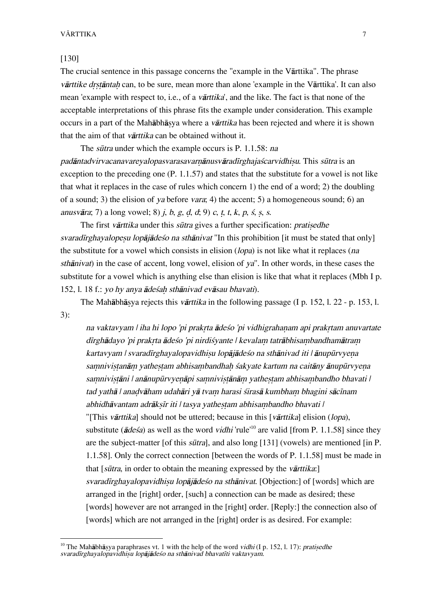#### [130]

The crucial sentence in this passage concerns the "example in the Vårttika". The phrase värttike drstäntah can, to be sure, mean more than alone 'example in the Värttika'. It can also mean 'example with respect to, i.e., of a *vārttika*', and the like. The fact is that none of the acceptable interpretations of this phrase fits the example under consideration. This example occurs in a part of the Mahābhāsya where a *vārttika* has been rejected and where it is shown that the aim of that varianchular be obtained without it.

The *sūtra* under which the example occurs is P. 1.1.58: na padāntadvirvacanavarevalopasvarasavarnānusvāradīrghajaścarvidhisu. This sūtra is an exception to the preceding one (P. 1.1.57) and states that the substitute for a vowel is not like that what it replaces in the case of rules which concern 1) the end of a word; 2) the doubling of a sound; 3) the elision of va before vara; 4) the accent; 5) a homogeneous sound; 6) an anusvāra; 7) a long vowel; 8) *j*, *b*, *g*, *d*, *d*; 9) *c*, *t*, *t*, *k*, *p*, *s*, *s*, *s*.

The first vārttika under this sūtra gives a further specification: *pratisedhe* svaradīrghayalopesu lopājādeso na sthānivat "In this prohibition [it must be stated that only] the substitute for a vowel which consists in elision (lopa) is not like what it replaces (na sthånivat) in the case of accent, long vowel, elision of ya". In other words, in these cases the substitute for a vowel which is anything else than elision is like that what it replaces (Mbh I p. 152, l. 18 f.: yo hy anya ādeśah sthānivad evāsau bhavati).

The Mahābhāsya rejects this *vārttika* in the following passage (I p. 152, l. 22 - p. 153, l. 3):

na vaktavyam | iha hi lopo 'pi prakrta ādeśo 'pi vidhigrahanam api prakrtam anuvartate dīrghādayo 'pi prakrta ādeśo 'pi nirdiśyante | kevalam tatrābhisambandhamātram kartavyam | svaradīrghayalopavidhisu lopājādeśo na sthānivad iti | ānupūrvyena samnivistanām yathestam abhisambandhah śakyate kartum na caitāny ānupūrvyena samnivistāni | anānupūrvyenāpi samnivistānām yathestam abhisambandho bhavati | tad yathā | anadvāham udahāri yā tvam harasi śirasā kumbham bhagini sācīnam abhidhāvantam adrāksīr iti | tasya yathestam abhisambandho bhavati | "[This vårttika] should not be uttered; because in this [vårttika] elision (lopa), substitute ( $\bar{a}$ des $\hat{a}$ ) as well as the word *vidhi* 'rule<sup>'10</sup> are valid [from P. 1.1.58] since they are the subject-matter [of this *sūtra*], and also long [131] (vowels) are mentioned [in P. 1.1.58]. Only the correct connection [between the words of P. 1.1.58] must be made in that  $[s\bar{u}tr\bar{a}]$ , in order to obtain the meaning expressed by the *varitika*: svaradīrghayalopavidhisu lopājādeso na sthānivat. [Objection:] of [words] which are arranged in the [right] order, [such] a connection can be made as desired; these [words] however are not arranged in the [right] order. [Reply:] the connection also of [words] which are not arranged in the [right] order is as desired. For example:

<sup>&</sup>lt;sup>10</sup> The Mahābhāṣya paraphrases vt. 1 with the help of the word *vidhi* (I p. 152, l. 17): *pratiṣedhe* svaradīrghayalopavidhisu lopājādeśo na sthānivad bhavatīti vaktavyam.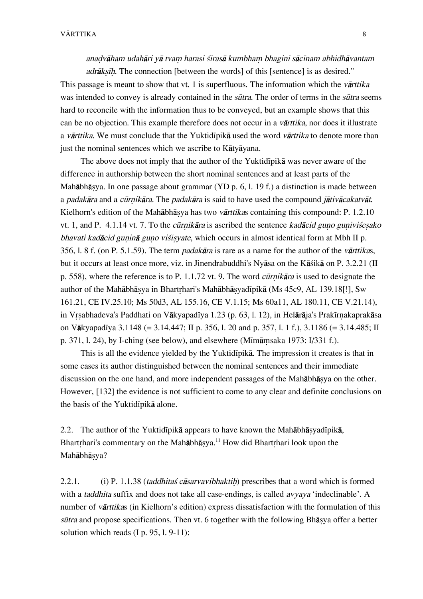anadvāham udahāri yā tvam harasi śirasā kumbham bhagini sācīnam abhidhāvantam adrāksīh. The connection [between the words] of this [sentence] is as desired."

This passage is meant to show that vt. 1 is superfluous. The information which the *varttika* was intended to convey is already contained in the *sūtra*. The order of terms in the *sūtra* seems hard to reconcile with the information thus to be conveyed, but an example shows that this can be no objection. This example therefore does not occur in a vårttika, nor does it illustrate a vārttika. We must conclude that the Yuktidīpikā used the word vārttika to denote more than just the nominal sentences which we ascribe to Kåtyåyana.

The above does not imply that the author of the Yuktidipika was never aware of the difference in authorship between the short nominal sentences and at least parts of the Mahābhāsya. In one passage about grammar (YD p. 6, l. 19 f.) a distinction is made between a *padakāra* and a *cūrnikāra*. The *padakāra* is said to have used the compound *jātivācakatvāt*. Kielhorn's edition of the Mahābhāsya has two vārttikas containing this compound: P. 1.2.10 vt. 1, and P. 4.1.14 vt. 7. To the *cūrnikāra* is ascribed the sentence *kadācid guno gunivisesako* bhavati kadācid guninā guno vist vate, which occurs in almost identical form at Mbh II p. 356, l. 8 f. (on P. 5.1.59). The term padakåra is rare as a name for the author of the vårttikas, but it occurs at least once more, viz. in Jinendrabuddhi's Nyāsa on the Kāśikā on P. 3.2.21 (II p. 558), where the reference is to P. 1.1.72 vt. 9. The word *cūrnikāra* is used to designate the author of the Mahābhāsya in Bhartrhari's Mahābhāsyadīpikā (Ms 45c9, AL 139.18[!], Sw 161.21, CE IV.25.10; Ms 50d3, AL 155.16, CE V.1.15; Ms 60a11, AL 180.11, CE V.21.14), in Vrsabhadeva's Paddhati on Vākyapadīya 1.23 (p. 63, l. 12), in Helārāja's Prakīrnakaprakāsa on Vākyapadīya 3.1148 (= 3.14.447; II p. 356, l. 20 and p. 357, l. 1 f.), 3.1186 (= 3.14.485; II p. 371, l. 24), by I-ching (see below), and elsewhere (M $\overline{\text{Im}}$ amsaka 1973: I/331 f.).

This is all the evidence yielded by the Yuktid<sub>Ipik</sub> a. The impression it creates is that in some cases its author distinguished between the nominal sentences and their immediate discussion on the one hand, and more independent passages of the Mahābhāsya on the other. However, [132] the evidence is not sufficient to come to any clear and definite conclusions on the basis of the Yuktidīpikā alone.

2.2. The author of the Yuktidīpikā appears to have known the Mahābhāsyadīpikā, Bhartrhari's commentary on the Mahābhāsya.<sup>11</sup> How did Bhartrhari look upon the Mahābhāsva?

2.2.1. (i) P. 1.1.38 *(taddhitas cāsarvavibhaktih*) prescribes that a word which is formed with a *taddhita* suffix and does not take all case-endings, is called *avyaya* 'indeclinable'. A number of vårttikas (in Kielhorn's edition) express dissatisfaction with the formulation of this sūtra and propose specifications. Then vt. 6 together with the following Bhāsva offer a better solution which reads  $(I p. 95, I. 9-11)$ :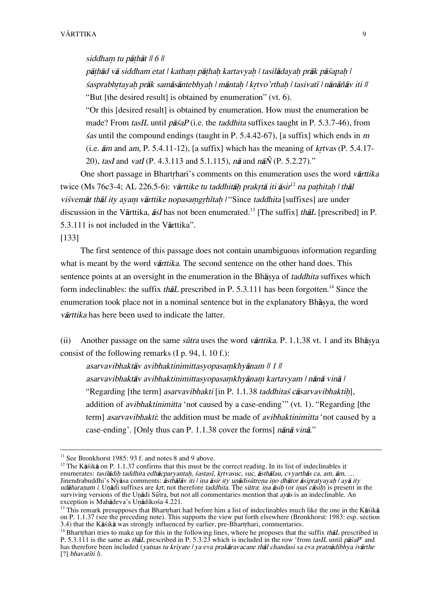### siddham tu pāthāt  $|| 6 ||$

pāthād vā siddham etat | katham pāthah kartavyah | tasilādayah prāk pāśapah |  $\hat{s}$ asprabhrtayah prāk samāsāntebhyah | māntah | krtvo'rthah | tasivatī | nānāñāv iti || "But [the desired result] is obtained by enumeration" (vt. 6).

"Or this [desired result] is obtained by enumeration. How must the enumeration be made? From  $taskL$  until  $p\bar{a}saP$  (i.e. the *taddhita* suffixes taught in P. 5.3.7-46), from  $\hat{s}$ as until the compound endings (taught in P. 5.4.42-67), [a suffix] which ends in m (i.e.  $\bar{a}$ m and am, P. 5.4.11-12), [a suffix] which has the meaning of krtvas (P. 5.4.17-20), tasI and vatI (P. 4.3.113 and 5.1.115),  $n\bar{a}$  and  $n\bar{a}\tilde{N}$  (P. 5.2.27)."

One short passage in Bhartrhari's comments on this enumeration uses the word vārttika twice (Ms 76c3-4; AL 226.5-6): vārttike tu taddhitāh prakrtā iti āsir $^{12}$  na pathitah | thāl viśvemāt thāl ity ayam vārttike nopasamgrhītah l"Since taddhita [suffixes] are under discussion in the Vārttika,  $\bar{a}sI$  has not been enumerated.<sup>13</sup> [The suffix] th $\bar{a}L$  [prescribed] in P. 5.3.111 is not included in the Vårttika".

[133]

The first sentence of this passage does not contain unambiguous information regarding what is meant by the word *varttika*. The second sentence on the other hand does. This sentence points at an oversight in the enumeration in the Bhasya of taddhita suffixes which form indeclinables: the suffix *thale* prescribed in P. 5.3.111 has been forgotten.<sup>14</sup> Since the enumeration took place not in a nominal sentence but in the explanatory Bhasya, the word vårttika has here been used to indicate the latter.

(ii) Another passage on the same *sūtra* uses the word *vārttika*. P. 1.1.38 vt. 1 and its Bhāsva consist of the following remarks (I p. 94, l. 10 f.):

asarvavibhaktāv avibhaktinimittasyopasamkhyānam  $||1||$ asarvavibhaktāv avibhaktinimittasyopasamkhyānam kartavyam | nānā vinā | "Regarding [the term] asarvavibhakti [in P. 1.1.38 taddhitas cāsarvavibhaktih], addition of avibhaktinimitta 'not caused by a case-ending'" (vt. 1). "Regarding [the term] asarvavibhakti: the addition must be made of avibhaktinimitta 'not caused by a case-ending'. [Only thus can P. 1.1.38 cover the forms] nånå vinå."

<sup>&</sup>lt;sup>11</sup> See Bronkhorst 1985: 93 f. and notes 8 and 9 above.

<sup>&</sup>lt;sup>12</sup> The Kāśikā on P. 1.1.37 confirms that this must be the correct reading. In its list of indeclinables it enumerates: tasilādih taddhita edhācparyantah, sastasī, krtvasuc, suc, āsthālau, cvyarthās ca, am, ām, ... Jinendrabuddhi's Nyāsa comments: *āsthālāv iti | ina āsir ity unādisūtrena ino dhātor āsipratyayah | ayā ity* udāharanam  $l$ . Unādi suffixes are krt, not therefore taddhita. The sūtra: ina āsih (or inas cāsih) is present in the surviving versions of the Unadi Sūtra, but not all commentaries mention that  $a\overline{v}\overline{a}s$  is an indeclinable. An exception is Mahādeva's Unādikośa 4.221.

 $13$  This remark presupposes that Bhartrhari had before him a list of indeclinables much like the one in the Kāśikā on P. 1.1.37 (see the preceding note). This supports the view put forth elsewhere (Bronkhorst: 1983: esp. section 3.4) that the Kāśikā was strongly influenced by earlier, pre-Bhartrhari, commentaries.

<sup>&</sup>lt;sup>14</sup> Bhartrhari tries to make up for this in the following lines, where he proposes that the suffix th $\bar{a}L$  prescribed in P. 5.3.111 is the same as thall prescribed in P. 5.3.23 which is included in the row 'from tasIL until pasaP' and has therefore been included (yatnas tu kriyate | ya eva prakāravacane thāl chandasi sa eva pratnādibhya ivārthe [?] bhavatīti  $\hat{D}$ .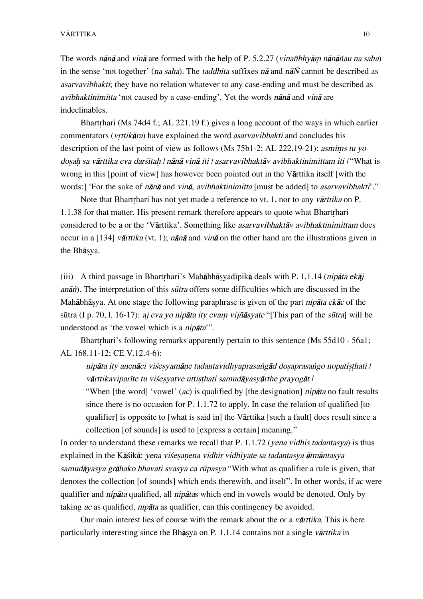The words nänä and vinä are formed with the help of P. 5.2.27 (vinañbhyām nänāñau na saha) in the sense 'not together' (*na saha*). The *taddhita* suffixes  $n\bar{a}$  and  $n\bar{a}\tilde{N}$  cannot be described as asarvavibhakti; they have no relation whatever to any case-ending and must be described as avibhaktinimitta 'not caused by a case-ending'. Yet the words nånå and vinå are indeclinables.

Bhartrhari (Ms 74d4 f.; AL 221.19 f.) gives a long account of the ways in which earlier commentators (vrttikāra) have explained the word asarvavibhakti and concludes his description of the last point of view as follows (Ms  $75b1-2$ ; AL 222.19-21): asmims tu yo dosah sa vārttika eva darsitah | nānā vinā iti | asarvavibhaktāv avibhaktinimittam iti | "What is wrong in this [point of view] has however been pointed out in the Vårttika itself [with the words:] 'For the sake of *nānā* and *vinā, avibhaktinimitta* [must be added] to *asarvavibhakti*'."

Note that Bhartrhari has not vet made a reference to vt. 1, nor to any varticle on P. 1.1.38 for that matter. His present remark therefore appears to quote what Bhartrhari considered to be a or the 'Vårttika'. Something like asarvavibhaktåv avibhaktinimittam does occur in a [134] vārttika (vt. 1); nānā and vinā on the other hand are the illustrations given in the Bhāsya.

(iii) A third passage in Bhartrhari's Mahābhāsyadīpikā deals with P. 1.1.14 (nipāta ekāj anān). The interpretation of this sūtra offers some difficulties which are discussed in the Mahābhāsya. At one stage the following paraphrase is given of the part *nipāta ekāc* of the sūtra (I p. 70, l. 16-17): *aj eva yo nipāta ity evam vijñāsyate* "[This part of the *sūtra*] will be understood as 'the vowel which is a *nipāta*'".

Bhartrhari's following remarks apparently pertain to this sentence (Ms 55d10 - 56a1; AL 168.11-12; CE V.12.4-6):

nipāta ity anenāci viśesyamāne tadantavidhyaprasangād dosaprasango nopatisthati | vārttikaviparīte tu višesvatve uttisthati samudāvasvārthe prayogāt |

"When [the word] 'vowel' (*ac*) is qualified by [the designation] *nipāta* no fault results since there is no occasion for P. 1.1.72 to apply. In case the relation of qualified [to qualifier] is opposite to [what is said in] the Vårttika [such a fault] does result since a collection [of sounds] is used to [express a certain] meaning."

In order to understand these remarks we recall that P. 1.1.72 (vena vidhis tadantasya) is thus explained in the Kāśikā: yena viśesanena vidhir vidhīvate sa tadantasya ātmāntasya samudāyasya grāhako bhavati svasya ca rūpasya "With what as qualifier a rule is given, that denotes the collection [of sounds] which ends therewith, and itself". In other words, if ac were qualifier and *nipāta* qualified, all *nipātas* which end in vowels would be denoted. Only by taking ac as qualified, nipåta as qualifier, can this contingency be avoided.

Our main interest lies of course with the remark about the or a *varttika*. This is here particularly interesting since the Bhāsya on P. 1.1.14 contains not a single vārttika in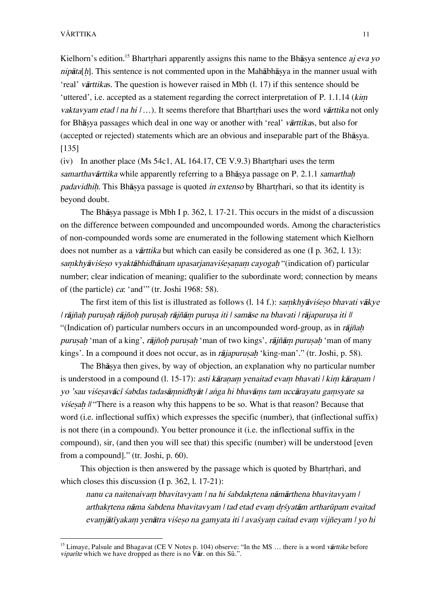Kielhorn's edition.<sup>15</sup> Bhartrhari apparently assigns this name to the Bh $\bar{a}$ s assignes antence aj eva yo nipāta[h]. This sentence is not commented upon in the Mahābhāsya in the manner usual with 'real' vårttikas. The question is however raised in Mbh (l. 17) if this sentence should be 'uttered', i.e. accepted as a statement regarding the correct interpretation of  $P. 1.1.14$  (kim vaktavyam etad  $|$  na hi  $| \dots$ ). It seems therefore that Bhartrhari uses the word vārttika not only for Bhāsya passages which deal in one way or another with 'real' *vārttikas*, but also for (accepted or rejected) statements which are an obvious and inseparable part of the Bhāsya. [135]

(iv) In another place (Ms 54c1, AL 164.17, CE V.9.3) Bhartrhari uses the term samarthavārttika while apparently referring to a Bhāsya passage on P. 2.1.1 samarthah padavidhih. This Bhāsya passage is quoted in extenso by Bhartrhari, so that its identity is beyond doubt.

The Bhāsya passage is Mbh I p. 362, l. 17-21. This occurs in the midst of a discussion on the difference between compounded and uncompounded words. Among the characteristics of non-compounded words some are enumerated in the following statement which Kielhorn does not number as a *vārttika* but which can easily be considered as one (I p. 362, l. 13): samkhyāviseso vyaktābhidhānam upasarjanavisesanam cayogah "(indication of) particular number; clear indication of meaning; qualifier to the subordinate word; connection by means of (the particle) ca: 'and'" (tr. Joshi 1968: 58).

The first item of this list is illustrated as follows (l. 14 f.): samkhyāviśeso bhavati vākye | råjña˙ puru∑a˙ råjño˙ puru∑a˙ råjñåµ puru∑a iti | samåse na bhavati | råjapuru∑a iti || "(Indication of) particular numbers occurs in an uncompounded word-group, as in  $r\bar{a}j\tilde{n}ah$ purusah 'man of a king', rājñoh purusah 'man of two kings', rājñām purusah 'man of many kings'. In a compound it does not occur, as in rājapurusah 'king-man'." (tr. Joshi, p. 58).

The Bhāsya then gives, by way of objection, an explanation why no particular number is understood in a compound (l. 15-17): *asti kāranam venaitad evam bhavati | kim kāranam |* yo 'sau viśesavācī śabdas tadasāmnidhyāt | anga hi bhavāms tam uccārayatu gamsyate sa viśesah ll "There is a reason why this happens to be so. What is that reason? Because that word (i.e. inflectional suffix) which expresses the specific (number), that (inflectional suffix) is not there (in a compound). You better pronounce it (i.e. the inflectional suffix in the compound), sir, (and then you will see that) this specific (number) will be understood [even from a compound]." (tr. Joshi, p. 60).

This objection is then answered by the passage which is quoted by Bhartrhari, and which closes this discussion (I p. 362, l. 17-21):

nanu ca naitenaivam bhavitavyam | na hi śabdakrtena nāmārthena bhavitavyam | arthakrtena nāma śabdena bhavitavyam | tad etad evam drśyatām artharūpam evaitad evamjātīyakam yenātra višeso na gamyata iti | avašyam caitad evam vijñeyam | yo hi

<sup>&</sup>lt;sup>15</sup> Limaye, Palsule and Bhagavat (CE V Notes p. 104) observe: "In the MS ... there is a word vartiske before viparite which we have dropped as there is no  $\hat{V}$  ar. on this S $\bar{u}$ .".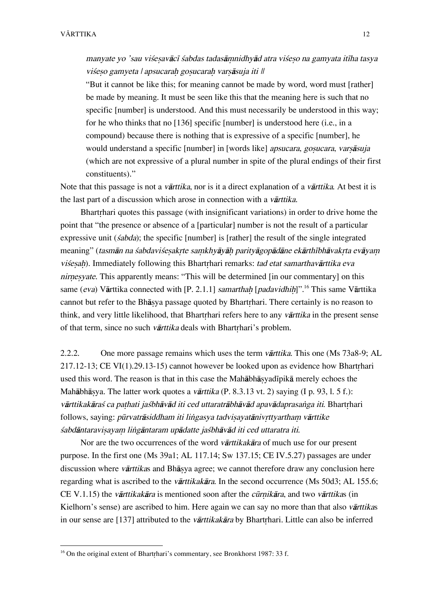manyate yo 'sau viśesavācī śabdas tadasāmnidhyād atra viśeso na gamyata itīha tasya viśeso gamyeta | apsucarah gosucarah varsāsuja iti ||

"But it cannot be like this; for meaning cannot be made by word, word must [rather] be made by meaning. It must be seen like this that the meaning here is such that no specific [number] is understood. And this must necessarily be understood in this way; for he who thinks that no [136] specific [number] is understood here (i.e., in a compound) because there is nothing that is expressive of a specific [number], he would understand a specific [number] in [words like] apsucara, gosucara, varsāsuja (which are not expressive of a plural number in spite of the plural endings of their first constituents)."

Note that this passage is not a *vārttika*, nor is it a direct explanation of a *vārttika*. At best it is the last part of a discussion which arose in connection with a *vārttika*.

Bhartrhari quotes this passage (with insignificant variations) in order to drive home the point that "the presence or absence of a [particular] number is not the result of a particular expressive unit *(sabda)*; the specific [number] is [rather] the result of the single integrated meaning" (tasmān na sabdavisesakrte samkhyāyāh parityāgopādāne ekārthībhāvakrta evāyam visesah). Immediately following this Bhartrhari remarks: tad etat samarthavārttika eva nirnesyate. This apparently means: "This will be determined [in our commentary] on this same (eva) Vārttika connected with [P. 2.1.1] samarthah [padavidhih]".<sup>16</sup> This same Vārttika cannot but refer to the Bhāsya passage quoted by Bhartrhari. There certainly is no reason to think, and very little likelihood, that Bhartrhari refers here to any vārttika in the present sense of that term, since no such vārttika deals with Bhartrhari's problem.

2.2.2. One more passage remains which uses the term *vārttika*. This one (Ms 73a8-9; AL  $217.12-13$ ; CE VI(1).29.13-15) cannot however be looked upon as evidence how Bhartrhari used this word. The reason is that in this case the Mahābhāsvadīpikā merely echoes the Mahābhāsya. The latter work quotes a *vārttika* (P. 8.3.13 vt. 2) saying (I p. 93, l. 5 f.): vārttikakāras ca pathati jastbhāvād iti ced uttaratrābhāvād apavādaprasanga iti. Bhartrhari follows, saying: *pūrvatrāsiddham iti lingasya tadvisayatānivrttyartham vārttike* śabdāntaravisayam lingāntaram upādatte jaśbhāvād iti ced uttaratra iti.

Nor are the two occurrences of the word *varttikakara* of much use for our present purpose. In the first one (Ms 39a1; AL 117.14; Sw 137.15; CE IV.5.27) passages are under discussion where *vārttikas* and Bhāsya agree; we cannot therefore draw any conclusion here regarding what is ascribed to the *vārttikakāra*. In the second occurrence (Ms 50d3; AL 155.6; CE V.1.15) the *vārttikakāra* is mentioned soon after the *cūrnikāra*, and two *vārttikas* (in Kielhorn's sense) are ascribed to him. Here again we can say no more than that also vārttikas in our sense are [137] attributed to the *vārttikakāra* by Bhartrhari. Little can also be inferred

 $16$  On the original extent of Bhartrhari's commentary, see Bronkhorst 1987: 33 f.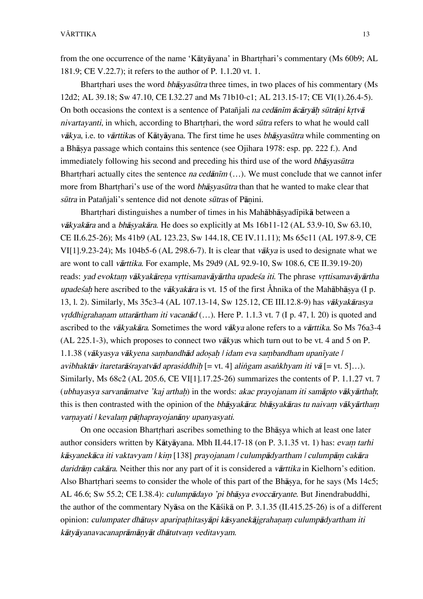from the one occurrence of the name 'Kātyāyana' in Bhartrhari's commentary (Ms 60b9; AL 181.9; CE V.22.7); it refers to the author of P. 1.1.20 vt. 1.

Bhartrhari uses the word *bhāsyasūtra* three times, in two places of his commentary (Ms 12d2; AL 39.18; Sw 47.10, CE I.32.27 and Ms 71b10-c1; AL 213.15-17; CE VI(1).26.4-5). On both occasions the context is a sentence of Patañiali na cedanim acarvah sūtrāni krtvā nivartavanti, in which, according to Bhartrhari, the word surfrace refers to what he would call vākya, i.e. to vārttikas of Kātyāyana. The first time he uses bhāsyasūtra while commenting on a Bhāsya passage which contains this sentence (see Ojihara 1978: esp. pp. 222 f.). And immediately following his second and preceding his third use of the word *bhāsyasūtra* Bhartrhari actually cites the sentence na cedanim  $(...)$ . We must conclude that we cannot infer more from Bhartrhari's use of the word *bhāsyasūtra* than that he wanted to make clear that  $s$  $\bar{u}$ tra in Patañjali's sentence did not denote  $s\bar{u}$ tras of Pānini.

Bhartrhari distinguishes a number of times in his Mahābhāsyadīpikā between a vākvakāra and a *bhāsvakāra*. He does so explicitly at Ms 16b11-12 (AL 53.9-10, Sw 63.10, CE II.6.25-26); Ms 41b9 (AL 123.23, Sw 144.18, CE IV.11.11); Ms 65c11 (AL 197.8-9, CE VI[1].9.23-24); Ms 104b5-6 (AL 298.6-7). It is clear that v $\bar{a}$ kya is used to designate what we are wont to call vårttika. For example, Ms 29d9 (AL 92.9-10, Sw 108.6, CE II.39.19-20) reads: yad evoktam vākyakārena vrttisamavāyārtha upadeśa iti. The phrase vrttisamavāyārtha upadesah here ascribed to the vākvakāra is vt. 15 of the first Åhnika of the Mahābhāsva (I p. 13, l. 2). Similarly, Ms 35c3-4 (AL 107.13-14, Sw 125.12, CE III.12.8-9) has våkyakårasya vrddhigrahanam uttarārtham iti vacanād  $(...)$ . Here P. 1.1.3 vt. 7 (I p. 47, l. 20) is quoted and ascribed to the vākyakāra. Sometimes the word vākya alone refers to a vārttika. So Ms 76a3-4 (AL 225.1-3), which proposes to connect two våkyas which turn out to be vt. 4 and 5 on P. 1.1.38 (vākyasya vākyena sambandhād adosah | idam eva sambandham upanīyate | avibhaktāv itaretarāśrayatvād aprasiddhih [= vt. 4] alingam asankhyam iti vā [= vt. 5]...). Similarly, Ms 68c2 (AL 205.6, CE VI[1].17.25-26) summarizes the contents of P. 1.1.27 vt. 7 (ubhayasya sarvanāmatve 'kaj arthah) in the words: akac prayojanam iti samāpto vākyārthah; this is then contrasted with the opinion of the bhāsyakāra: bhāsyakāras tu naivam vākyārtham varnayati | kevalam pāthaprayojanāny upanyasyati.

On one occasion Bhartrhari ascribes something to the Bhāsya which at least one later author considers written by Kātyāyana. Mbh II.44.17-18 (on P. 3.1.35 vt. 1) has: *evam tarhi* kāsyanekāca iti vaktavyam | kim [138] prayojanam | culumpādyartham | culumpām cakāra daridrām cakāra. Neither this nor any part of it is considered a vārttika in Kielhorn's edition. Also Bhartrhari seems to consider the whole of this part of the Bhāsya, for he says (Ms 14c5; AL 46.6; Sw 55.2; CE I.38.4): *culumpādayo 'pi bhāsya evoccāryante*. But Jinendrabuddhi, the author of the commentary Nyåsa on the Kåßikå on P. 3.1.35 (II.415.25-26) is of a different opinion: culumpater dhātusv aparipathitasyāpi kāsyanekājgrahanam culumpādyartham iti kātyāyanavacanaprāmānyāt dhātutvam veditavyam.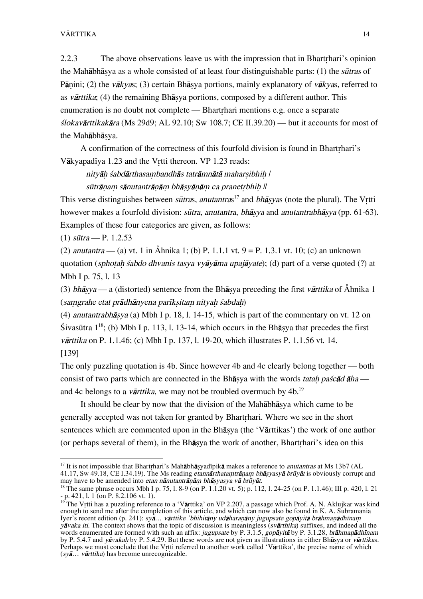2.2.3 The above observations leave us with the impression that in Bhartrhari's opinion the Mahābhāsya as a whole consisted of at least four distinguishable parts: (1) the *sūtras* of Pānini; (2) the *vākyas*; (3) certain Bhāsya portions, mainly explanatory of *vākyas*, referred to as vārttika; (4) the remaining Bhāsya portions, composed by a different author. This enumeration is no doubt not complete — Bhartrhari mentions  $e.g.$  once a separate  $\hat{s}$ lokavārttikakāra (Ms 29d9; AL 92.10; Sw 108.7; CE II.39.20) — but it accounts for most of the Mahābhāsya.

A confirmation of the correctness of this fourfold division is found in Bhartrhari's Vākvapadīva 1.23 and the Vrtti thereon. VP 1.23 reads:

nityāh śabdārthasambandhās tatrāmnātā maharsibhih∣

sūtrānam sānutantrānām bhāsyānām ca pranetrbhih ||

This verse distinguishes between *sūtras*, anutantras<sup>17</sup> and bhāṣyas (note the plural). The Vrtti however makes a fourfold division: *sūtra, anutantra, bhāsya* and *anutantrabhāsya* (pp. 61-63). Examples of these four categories are given, as follows:

 $(1)$  sūtra — P. 1.2.53

(2) anutantra — (a) vt. 1 in Åhnika 1; (b) P. 1.1.1 vt.  $9 = P$ . 1.3.1 vt. 10; (c) an unknown quotation (sphotah śabdo dhvanis tasya vyāyāma upajāyate); (d) part of a verse quoted (?) at Mbh I p. 75, l. 13

(3) bhå∑ya — a (distorted) sentence from the Bhå∑ya preceding the first vårttika of Åhnika 1 (samgrahe etat prādhānyena parīksitam nityah śabdah)

(4) anutantrabhå∑ya (a) Mbh I p. 18, l. 14-15, which is part of the commentary on vt. 12 on  $\frac{\text{S}}{\text{V}}$ ivasūtra  $1^{18}$ ; (b) Mbh I p. 113, l. 13-14, which occurs in the Bhāsya that precedes the first  $v$  $\bar{a}$ rttika on P. 1.1.46; (c) Mbh I p. 137, l. 19-20, which illustrates P. 1.1.56 vt. 14. [139]

The only puzzling quotation is 4b. Since however 4b and 4c clearly belong together — both consist of two parts which are connected in the Bhāsya with the words tatah pascãd āha and 4c belongs to a *varitika*, we may not be troubled overmuch by  $4b$ .<sup>19</sup>

It should be clear by now that the division of the Mahåbhå∑ya which came to be generally accepted was not taken for granted by Bhartrhari. Where we see in the short sentences which are commented upon in the Bhāsya (the 'Vārttikas') the work of one author (or perhaps several of them), in the Bhasya the work of another, Bhartrhari's idea on this

<sup>&</sup>lt;sup>17</sup> It is not impossible that Bhartrhari's Mahābhāṣyadīpikā makes a reference to *anutantras* at Ms 13b7 (AL 41.17, Sw 49.18, CE I.34.19). The Ms reading *etannarthatamtranam bhasyasya brüyat* is obviously corrupt and may have to be amended into etan nānutantrānām bhāsyasya vā brūyāt.

<sup>&</sup>lt;sup>18</sup> The same phrase occurs Mbh I p. 75, 1. 8-9 (on P. 1.1.20 vt. 5); p. 112, 1. 24-25 (on P. 1.1.46); III p. 420, 1. 21  $-$  p. 421, l. 1 (on P. 8.2.106 vt. 1).

<sup>&</sup>lt;sup>19</sup> The Vrtti has a puzzling reference to a 'Vārttika' on VP 2.207, a passage which Prof. A. N. Aklujkar was kind enough to send me after the completion of this article, and which can now also be found in K. A. Subramania Iyer's recent edition (p. 241): *syā… vārttike 'bhihitāny udāharaṇāny jugupsate gopāyitā brāhmaṇādhīnaṃ* yāvaka iti. The context shows that the topic of discussion is meaningless (svārthika) suffixes, and indeed all the words enumerated are formed with such an affix: *jugupsate* by P. 3.1.5, *gopāyitā* by P. 3.1.28, brāhmaņādhīnam by P. 5.4.7 and yāvakah by P. 5.4.29. But these words are not given as illustrations in either Bhāṣya or vārttikas. Perhaps we must conclude that the Vrtti referred to another work called 'Vārttika', the precise name of which (syå… vårttika) has become unrecognizable.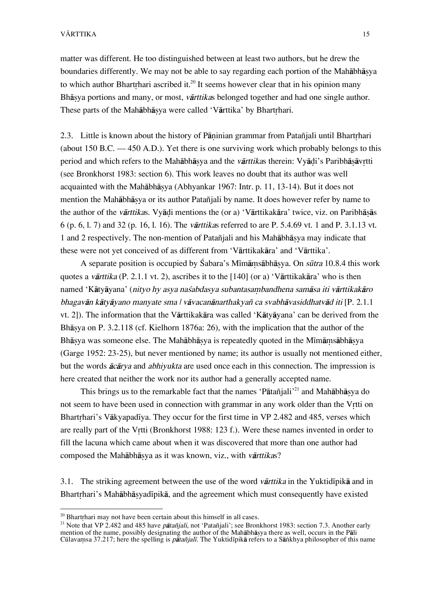matter was different. He too distinguished between at least two authors, but he drew the boundaries differently. We may not be able to say regarding each portion of the Mahābhāsya to which author Bhartrhari ascribed it.<sup>20</sup> It seems however clear that in his opinion many Bhāsya portions and many, or most, vārttikas belonged together and had one single author. These parts of the Mahābhāsya were called 'Vārttika' by Bhartrhari.

2.3. Little is known about the history of Pāninian grammar from Patañjali until Bhartrhari (about 150 B.C. — 450 A.D.). Yet there is one surviving work which probably belongs to this period and which refers to the Mahābhāsya and the *vārttikas* therein: Vyādi's Paribhāsāvrtti (see Bronkhorst 1983: section 6). This work leaves no doubt that its author was well acquainted with the Mahåbhå∑ya (Abhyankar 1967: Intr. p. 11, 13-14). But it does not mention the Mahåbhå∑ya or its author Patañjali by name. It does however refer by name to the author of the *vārttikas*. Vyādi mentions the (or a) 'Vārttikakāra' twice, viz. on Paribhāsās 6 (p. 6, l. 7) and 32 (p. 16, l. 16). The vårttikas referred to are P. 5.4.69 vt. 1 and P. 3.1.13 vt. 1 and 2 respectively. The non-mention of Patañjali and his Mahåbhå∑ya may indicate that these were not yet conceived of as different from 'Vårttikakåra' and 'Vårttika'.

A separate position is occupied by Śabara's Mīmāmsābhāsva. On sūtra 10.8.4 this work quotes a vårttika (P. 2.1.1 vt. 2), ascribes it to the [140] (or a) 'Vårttikakåra' who is then named 'Kātyāyana' (nityo hy asya nasabdasya subantasambandhena samāsa iti vārttikakāro bhagavån kåtyåyano manyate sma | våvacanånarthakyañ ca svabhåvasiddhatvåd iti [P. 2.1.1 vt. 2]). The information that the Vårttikakåra was called 'Kåtyåyana' can be derived from the Bhāsya on P. 3.2.118 (cf. Kielhorn 1876a: 26), with the implication that the author of the Bhāsya was someone else. The Mahābhāsya is repeatedly quoted in the Mīmāmsābhāsya (Garge 1952: 23-25), but never mentioned by name; its author is usually not mentioned either, but the words åcårya and abhiyukta are used once each in this connection. The impression is here created that neither the work nor its author had a generally accepted name.

This brings us to the remarkable fact that the names 'Pātañjali'<sup>21</sup> and Mahābhāsya do not seem to have been used in connection with grammar in any work older than the Vrtti on Bhartrhari's Vākyapadīya. They occur for the first time in VP 2.482 and 485, verses which are really part of the Vrtti (Bronkhorst 1988: 123 f.). Were these names invented in order to fill the lacuna which came about when it was discovered that more than one author had composed the Mahābhāsya as it was known, viz., with vārttikas?

3.1. The striking agreement between the use of the word *varttika* in the Yuktid<sub>i</sub>pika and in Bhartrhari's Mahābhāsyadīpikā, and the agreement which must consequently have existed

 $20$  Bhartrhari may not have been certain about this himself in all cases.

<sup>&</sup>lt;sup>21</sup> Note that VP 2.482 and 485 have *pātañjali*, not 'Patañjali'; see Bronkhorst 1983: section 7.3. Another early mention of the name, possibly designating the author of the Mahābhāṣya there as well, occurs in the Pāli Cūlavamsa 37.217; here the spelling is pātañjalī. The Yuktidīpikā refers to a Sānkhya philosopher of this name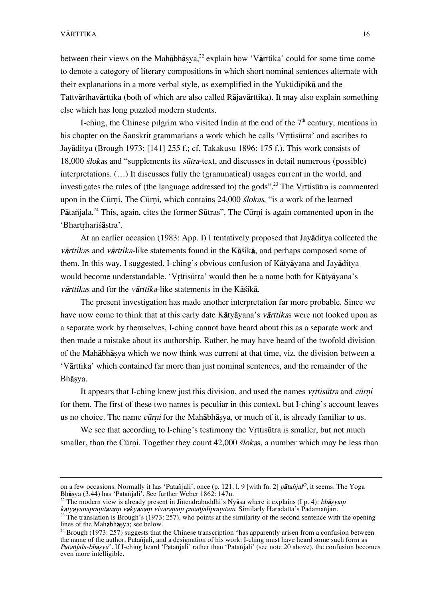$\overline{a}$ 

between their views on the Mahābhāsya,<sup>22</sup> explain how 'Vārttika' could for some time come to denote a category of literary compositions in which short nominal sentences alternate with their explanations in a more verbal style, as exemplified in the Yuktid<sub>ipik</sub> and the Tattvårthavårttika (both of which are also called Råjavårttika). It may also explain something else which has long puzzled modern students.

I-ching, the Chinese pilgrim who visited India at the end of the  $7<sup>th</sup>$  century, mentions in his chapter on the Sanskrit grammarians a work which he calls 'Vrttisūtra' and ascribes to Jayåditya (Brough 1973: [141] 255 f.; cf. Takakusu 1896: 175 f.). This work consists of 18,000 *ślokas* and "supplements its *sūtra*-text, and discusses in detail numerous (possible) interpretations. (…) It discusses fully the (grammatical) usages current in the world, and investigates the rules of (the language addressed to) the gods".<sup>23</sup> The Vrttisūtra is commented upon in the Cūrni. The Cūrni, which contains 24,000 *slokas*, "is a work of the learned Pātañiala.<sup>24</sup> This, again, cites the former Sūtras". The Cūrni is again commented upon in the 'Bhartrhariśāstra'.

At an earlier occasion (1983: App. I) I tentatively proposed that Jayåditya collected the vårttikas and vårttika-like statements found in the Kåßikå, and perhaps composed some of them. In this way, I suggested, I-ching's obvious confusion of Kåtyåyana and Jayåditya would become understandable. 'Vrttisūtra' would then be a name both for Kātyāyana's vārttikas and for the vārttika-like statements in the Kāšikā.

The present investigation has made another interpretation far more probable. Since we have now come to think that at this early date Kåtyåyana's vårttikas were not looked upon as a separate work by themselves, I-ching cannot have heard about this as a separate work and then made a mistake about its authorship. Rather, he may have heard of the twofold division of the Mahābhāsya which we now think was current at that time, viz. the division between a 'Vårttika' which contained far more than just nominal sentences, and the remainder of the Bhå∑ya.

It appears that I-ching knew just this division, and used the names *vrttisūtra* and *cūrni* for them. The first of these two names is peculiar in this context, but I-ching's account leaves us no choice. The name *cūrni* for the Mahābhāsya, or much of it, is already familiar to us.

We see that according to I-ching's testimony the Vrttisūtra is smaller, but not much smaller, than the Cūrni. Together they count 42,000 *slokas*, a number which may be less than

on a few occasions. Normally it has 'Patañjali', once (p. 121, l. 9 [with fn. 2] *pātañjal<sup>o</sup>*, it seems. The Yoga Bhå∑ya (3.44) has 'Patañjali'. See further Weber 1862: 147n.

<sup>&</sup>lt;sup>22</sup> The modern view is already present in Jinendrabuddhi's Nyāsa where it explains (I p. 4): *bhāsyam* kātyāyanapranītānām vākyānām vivaranam patañjalipranītam. Similarly Haradatta's Padamañjarī.

 $^{23}$  The translation is Brough's (1973: 257), who points at the similarity of the second sentence with the opening lines of the Mahåbhå∑ya; see below.

 $24$  Brough (1973: 257) suggests that the Chinese transcription "has apparently arisen from a confusion between the name of the author, Patañjali, and a designation of his work: I-ching must have heard some such form as Pātañjala-bhāṣya". If I-ching heard 'Pātañjali' rather than 'Patañjali' (see note 20 above), the confusion becomes even more intelligible.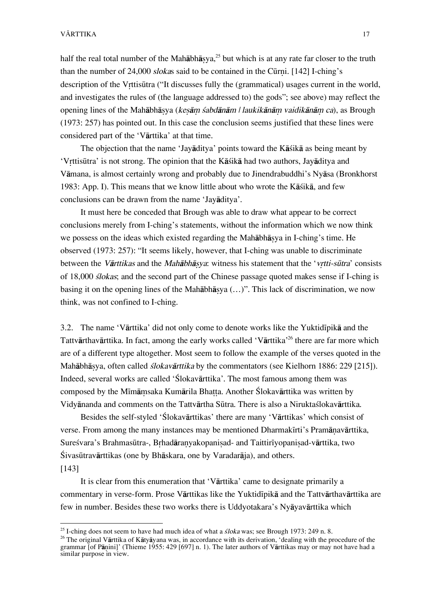#### VĀRTTIKA 17

half the real total number of the Mahābhāsya,<sup>25</sup> but which is at any rate far closer to the truth than the number of  $24,000$  slokas said to be contained in the Cūrni. [142] I-ching's description of the Vrttisūtra ("It discusses fully the (grammatical) usages current in the world, and investigates the rules of (the language addressed to) the gods"; see above) may reflect the opening lines of the Mahābhāsya (kesām śabdānām | laukikānām vaidikānām ca), as Brough (1973: 257) has pointed out. In this case the conclusion seems justified that these lines were considered part of the 'Vårttika' at that time.

The objection that the name 'Jayåditya' points toward the Kåßikå as being meant by 'V®ttisËtra' is not strong. The opinion that the Kåßikå had two authors, Jayåditya and Våmana, is almost certainly wrong and probably due to Jinendrabuddhi's Nyåsa (Bronkhorst 1983: App. I). This means that we know little about who wrote the Kåßikå, and few conclusions can be drawn from the name 'Jayåditya'.

It must here be conceded that Brough was able to draw what appear to be correct conclusions merely from I-ching's statements, without the information which we now think we possess on the ideas which existed regarding the Mahābhāsya in I-ching's time. He observed (1973: 257): "It seems likely, however, that I-ching was unable to discriminate between the *Vārttikas* and the *Mahābhāsva*: witness his statement that the '*vrtti-sūtra'* consists of 18,000 ßlokas; and the second part of the Chinese passage quoted makes sense if I-ching is basing it on the opening lines of the Mahābhāsya (…)". This lack of discrimination, we now think, was not confined to I-ching.

3.2. The name 'V $\bar{a}$ rttika' did not only come to denote works like the Yuktid $\bar{a}$  and the Tattvårthavårttika. In fact, among the early works called 'Vårttika'26 there are far more which are of a different type altogether. Most seem to follow the example of the verses quoted in the Mahābhāsya, often called *ślokavārttika* by the commentators (see Kielhorn 1886: 229 [215]). Indeed, several works are called 'Ílokavårttika'. The most famous among them was composed by the Mīmāmsaka Kumārila Bhatta. Another Ślokavārttika was written by Vidyånanda and comments on the Tattvårtha SËtra. There is also a Niruktaßlokavårttika.

Besides the self-styled 'Ślokavārttikas' there are many 'Vārttikas' which consist of verse. From among the many instances may be mentioned Dharmakīrti's Pramānavārttika, Sureśvara's Brahmasūtra-, Brhadāranvakopanisad- and Taittirīvopanisad-vārttika, two Śivasūtravārttikas (one by Bhāskara, one by Varadarāja), and others. [143]

It is clear from this enumeration that 'Vårttika' came to designate primarily a commentary in verse-form. Prose Vārttikas like the Yuktidīpikā and the Tattvārthavārttika are few in number. Besides these two works there is Uddyotakara's Nyåyavårttika which

<sup>&</sup>lt;sup>25</sup> I-ching does not seem to have had much idea of what a  $\delta loka$  was; see Brough 1973: 249 n. 8.

<sup>&</sup>lt;sup>26</sup> The original Vārttika of Kātyāyana was, in accordance with its derivation, 'dealing with the procedure of the grammar [of Pāṇini]' (Thieme 1955: 429 [697] n. 1). The later authors of Vārttikas may or may not have had a similar purpose in view.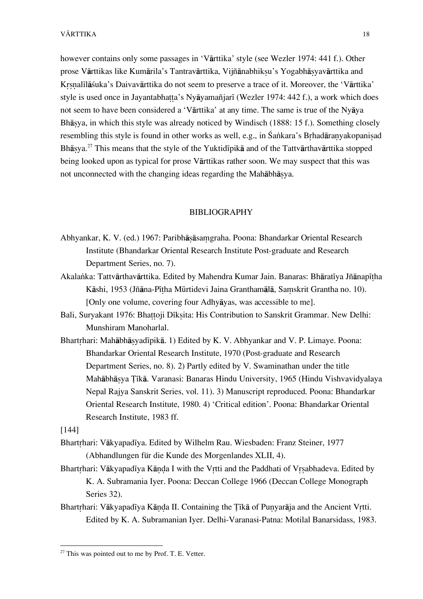however contains only some passages in 'Vårttika' style (see Wezler 1974: 441 f.). Other prose Vārttikas like Kumārila's Tantravārttika, Vijñānabhiksu's Yogabhāsyavārttika and Krsnalīlāšuka's Daivavārttika do not seem to preserve a trace of it. Moreover, the 'Vārttika' style is used once in Jayantabhatta's Nyāyamañjarī (Wezler 1974: 442 f.), a work which does not seem to have been considered a 'Vårttika' at any time. The same is true of the Nyåya Bhāsya, in which this style was already noticed by Windisch (1888: 15 f.). Something closely resembling this style is found in other works as well, e.g., in Śankara's Brhadāranyakopanisad Bhāsya.<sup>27</sup> This means that the style of the Yuktidīpikā and of the Tattvārthavārttika stopped being looked upon as typical for prose Vårttikas rather soon. We may suspect that this was not unconnected with the changing ideas regarding the Mahābhāsya.

#### BIBLIOGRAPHY

- Abhyankar, K. V. (ed.) 1967: Paribhå∑åsaµgraha. Poona: Bhandarkar Oriental Research Institute (Bhandarkar Oriental Research Institute Post-graduate and Research Department Series, no. 7).
- Akalanka: Tattvārthavārttika. Edited by Mahendra Kumar Jain. Banaras: Bhāratīya Jñānapītha Kāshi, 1953 (Jñāna-Pītha Mūrtidevi Jaina Granthamālā, Samskrit Grantha no. 10). [Only one volume, covering four Adhyåyas, was accessible to me].
- Bali, Suryakant 1976: Bhattoji Dīksita: His Contribution to Sanskrit Grammar. New Delhi: Munshiram Manoharlal.
- Bhartrhari: Mahābhāsyadīpikā. 1) Edited by K. V. Abhyankar and V. P. Limaye. Poona: Bhandarkar Oriental Research Institute, 1970 (Post-graduate and Research Department Series, no. 8). 2) Partly edited by V. Swaminathan under the title Mahābhāsya Tīkā. Varanasi: Banaras Hindu University, 1965 (Hindu Vishvavidyalaya Nepal Rajya Sanskrit Series, vol. 11). 3) Manuscript reproduced. Poona: Bhandarkar Oriental Research Institute, 1980. 4) 'Critical edition'. Poona: Bhandarkar Oriental Research Institute, 1983 ff.

[144]

- Bhartrhari: Vākyapadīya. Edited by Wilhelm Rau. Wiesbaden: Franz Steiner, 1977 (Abhandlungen für die Kunde des Morgenlandes XLII, 4).
- Bhartrhari: Vākyapadīya Kānda I with the Vrtti and the Paddhati of Vrsabhadeva. Edited by K. A. Subramania Iyer. Poona: Deccan College 1966 (Deccan College Monograph Series 32).
- Bhartrhari: Vākyapadīya Kānda II. Containing the Tīkā of Punyarāja and the Ancient Vrtti. Edited by K. A. Subramanian Iyer. Delhi-Varanasi-Patna: Motilal Banarsidass, 1983.

 $27$  This was pointed out to me by Prof. T. E. Vetter.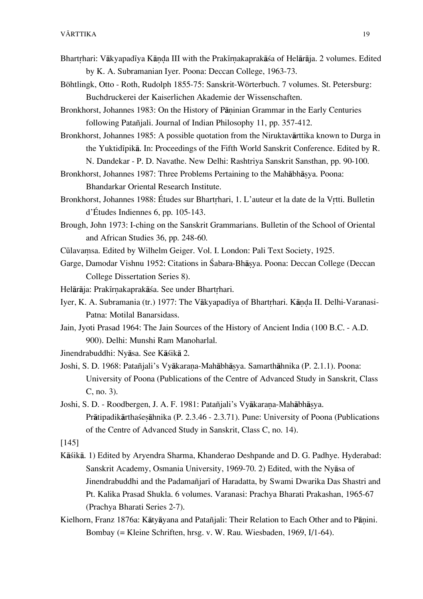- Bhartrhari: Vākyapadīya Kānda III with the Prakīrnakaprakāśa of Helārāja. 2 volumes. Edited by K. A. Subramanian Iyer. Poona: Deccan College, 1963-73.
- Böhtlingk, Otto Roth, Rudolph 1855-75: Sanskrit-Wörterbuch. 7 volumes. St. Petersburg: Buchdruckerei der Kaiserlichen Akademie der Wissenschaften.
- Bronkhorst, Johannes 1983: On the History of Pāninian Grammar in the Early Centuries following Patañjali. Journal of Indian Philosophy 11, pp. 357-412.
- Bronkhorst, Johannes 1985: A possible quotation from the Niruktavårttika known to Durga in the Yuktidīpikā. In: Proceedings of the Fifth World Sanskrit Conference. Edited by R. N. Dandekar – P. D. Navathe. New Delhi: Rashtriya Sanskrit Sansthan, pp. 90-100.
- Bronkhorst, Johannes 1987: Three Problems Pertaining to the Mahābhāsya. Poona: Bhandarkar Oriental Research Institute.
- Bronkhorst, Johannes 1988: Études sur Bhartrhari, 1. L'auteur et la date de la Vrtti. Bulletin d'Études Indiennes 6, pp. 105-143.
- Brough, John 1973: I-ching on the Sanskrit Grammarians. Bulletin of the School of Oriental and African Studies 36, pp. 248-60.
- Cūlavamsa. Edited by Wilhelm Geiger. Vol. I. London: Pali Text Society, 1925.
- Garge, Damodar Vishnu 1952: Citations in Śabara-Bhāsva. Poona: Deccan College (Deccan College Dissertation Series 8).
- Helārāja: Prakīrnakaprakāśa. See under Bhartrhari.
- Iyer, K. A. Subramania (tr.) 1977: The Vākyapadīya of Bhartrhari. Kānda II. Delhi-Varanasi-Patna: Motilal Banarsidass.
- Jain, Jyoti Prasad 1964: The Jain Sources of the History of Ancient India (100 B.C. A.D. 900). Delhi: Munshi Ram Manoharlal.
- Jinendrabuddhi: Nyåsa. See Kåßikå 2.
- Joshi, S. D. 1968: Patañjali's Vyākarana-Mahābhāsya. Samarthāhnika (P. 2.1.1). Poona: University of Poona (Publications of the Centre of Advanced Study in Sanskrit, Class C, no. 3).
- Joshi, S. D. Roodbergen, J. A. F. 1981: Patañjali's Vyākarana-Mahābhāsya. Pråtipadikårthaße∑åhnika (P. 2.3.46 – 2.3.71). Pune: University of Poona (Publications of the Centre of Advanced Study in Sanskrit, Class C, no. 14).

[145]

- Kāśikā. 1) Edited by Arvendra Sharma, Khanderao Deshpande and D. G. Padhye. Hyderabad: Sanskrit Academy, Osmania University, 1969-70. 2) Edited, with the Nyåsa of Jinendrabuddhi and the Padamañjarī of Haradatta, by Swami Dwarika Das Shastri and Pt. Kalika Prasad Shukla. 6 volumes. Varanasi: Prachya Bharati Prakashan, 1965-67 (Prachya Bharati Series 2-7).
- Kielhorn, Franz 1876a: Kātyāyana and Patañjali: Their Relation to Each Other and to Pānini. Bombay (= Kleine Schriften, hrsg. v. W. Rau. Wiesbaden, 1969, I/1-64).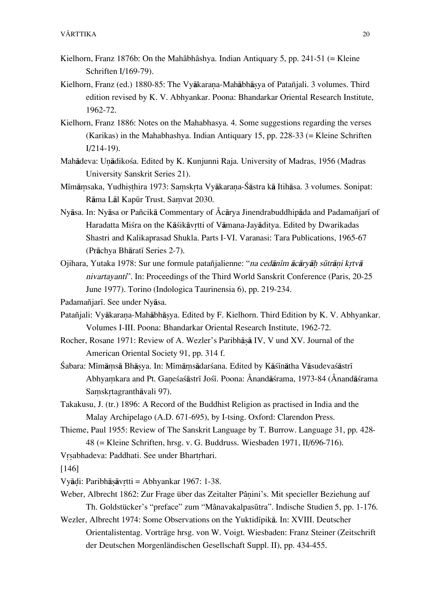- Kielhorn, Franz 1876b: On the Mahâbhâshya. Indian Antiquary 5, pp. 241-51 (= Kleine Schriften I/169-79).
- Kielhorn, Franz (ed.) 1880-85: The Vyākarana-Mahābhāsya of Patañjali. 3 volumes. Third edition revised by K. V. Abhyankar. Poona: Bhandarkar Oriental Research Institute, 1962-72.
- Kielhorn, Franz 1886: Notes on the Mahabhasya. 4. Some suggestions regarding the verses (Karikas) in the Mahabhashya. Indian Antiquary 15, pp. 228-33 (= Kleine Schriften I/214-19).
- Mahādeva: Unādikośa. Edited by K. Kunjunni Raja. University of Madras, 1956 (Madras University Sanskrit Series 21).
- Mīmāmsaka, Yudhisthira 1973: Samskrta Vyākarana-Śāstra kā Itihāsa. 3 volumes. Sonipat: Rāma Lāl Kapūr Trust. Samvat 2030.
- Nyāsa. In: Nyāsa or Pañcikā Commentary of Åcārya Jinendrabuddhipāda and Padamañjarī of Haradatta Miśra on the Kāśikāvrtti of Vāmana-Javāditya. Edited by Dwarikadas Shastri and Kalikaprasad Shukla. Parts I-VI. Varanasi: Tara Publications, 1965-67 (Prāchya Bhāratī Series 2-7).
- Ojihara, Yutaka 1978: Sur une formule patañjalienne: "na cedānīm ācārvāh sūtrāni krtvā nivartayanti". In: Proceedings of the Third World Sanskrit Conference (Paris, 20-25 June 1977). Torino (Indologica Taurinensia 6), pp. 219-234.
- Padamañjarī. See under Nyāsa.
- Patañjali: Vyākarana-Mahābhāsya. Edited by F. Kielhorn. Third Edition by K. V. Abhyankar. Volumes I-III. Poona: Bhandarkar Oriental Research Institute, 1962-72.
- Rocher, Rosane 1971: Review of A. Wezler's Paribhāsā IV, V und XV. Journal of the American Oriental Society 91, pp. 314 f.
- Śabara: Mīmāmsā Bhāsya. In: Mīmāmsādarśana. Edited by Kāśīnātha Vāsudevaśāstrī Abhyamkara and Pt. Ganesasastrī Josī. Poona: Ånandāsrama, 1973-84 (Ånandāsrama Samskrtagranthāvali 97).
- Takakusu, J. (tr.) 1896: A Record of the Buddhist Religion as practised in India and the Malay Archipelago (A.D. 671-695), by I-tsing. Oxford: Clarendon Press.
- Thieme, Paul 1955: Review of The Sanskrit Language by T. Burrow. Language 31, pp. 428- 48 (= Kleine Schriften, hrsg. v. G. Buddruss. Wiesbaden 1971, II/696-716).
- Vrsabhadeva: Paddhati. See under Bhartrhari.
- [146]
- Vyå∂i: Paribhå∑åv®tti = Abhyankar 1967: 1-38.
- Weber, Albrecht 1862: Zur Frage über das Zeitalter Pânini's. Mit specieller Beziehung auf Th. Goldstücker's "preface" zum "MânavakalpasËtra". Indische Studien 5, pp. 1-176.
- Wezler, Albrecht 1974: Some Observations on the Yuktidīpikā. In: XVIII. Deutscher Orientalistentag. Vorträge hrsg. von W. Voigt. Wiesbaden: Franz Steiner (Zeitschrift der Deutschen Morgenländischen Gesellschaft Suppl. II), pp. 434-455.